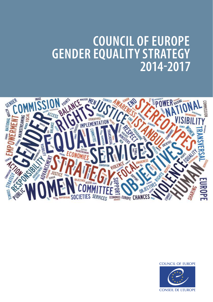# **COUNCIL OF EUROPE GENDER EQUALITY STRATEGY 2014-2017**





**CONSEIL DE L'EUROPE**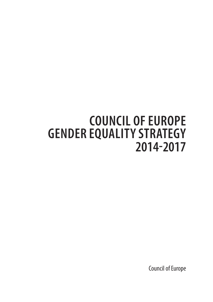# **COUNCIL OF EUROPE GENDER EQUALITY STRATEGY 2014-2017**

Council of Europe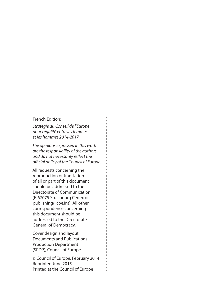#### French Edition:

*Stratégie du Conseil de l'Europe pour l'égalité entre les femmes et les hommes 2014-2017*

*The opinions expressed in this work are the responsibility of the authors and do not necessarily refect the*   $official policy of the Council of Europe.$ 

All requests concerning the reproduction or translation of all or part of this document should be addressed to the Directorate of Communication (F-67075 Strasbourg Cedex or publishing@coe.int). All other correspondence concerning this document should be addressed to the Directorate General of Democracy.

Cover design and layout: Documents and Publications Production Department (SPDP), Council of Europe

© Council of Europe, February 2014 Reprinted June 2015 Printed at the Council of Europe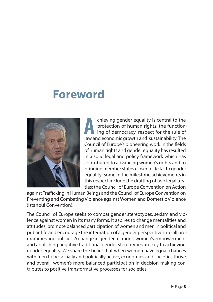## **Foreword**



**A** chieving gender equality is central to the protection of human rights, the functioning of democracy, respect for the rule of law and economic growth and sustainability. The Council of Europe's pioneering work in the felds of human rights and gender equality has resulted in a solid legal and policy framework which has contributed to advancing women's rights and to bringing member states closer to de facto gender equality. Some of the milestone achievements in this respect include the drafting of two legal treaties: the Council of Europe Convention on Action

against Trafficking in Human Beings and the Council of Europe Convention on Preventing and Combating Violence against Women and Domestic Violence (Istanbul Convention).

The Council of Europe seeks to combat gender stereotypes, sexism and violence against women in its many forms. It aspires to change mentalities and attitudes, promote balanced participation of women and men in political and public life and encourage the integration of a gender perspective into all programmes and policies. A change in gender relations, women's empowerment and abolishing negative traditional gender stereotypes are key to achieving gender equality. We share the belief that when women have equal chances with men to be socially and politically active, economies and societies thrive, and overall, women's more balanced participation in decision-making contributes to positive transformative processes for societies.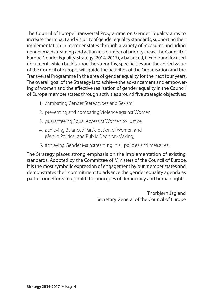The Council of Europe Transversal Programme on Gender Equality aims to increase the impact and visibility of gender equality standards, supporting their implementation in member states through a variety of measures, including gender mainstreaming and action in a number of priority areas. The Council of Europe Gender Equality Strategy (2014-2017), a balanced, fexible and focused document, which builds upon the strengths, specifcities and the added value of the Council of Europe, will guide the activities of the Organisation and the Transversal Programme in the area of gender equality for the next four years. The overall goal of the Strategy is to achieve the advancement and empowering of women and the efective realisation of gender equality in the Council of Europe member states through activities around fve strategic objectives:

- 1. combating Gender Stereotypes and Sexism;
- 2. preventing and combating Violence against Women;
- 3. guaranteeing Equal Access of Women to Justice;
- 4. achieving Balanced Participation of Women and Men in Political and Public Decision-Making;
- 5. achieving Gender Mainstreaming in all policies and measures.

The Strategy places strong emphasis on the implementation of existing standards. Adopted by the Committee of Ministers of the Council of Europe, it is the most symbolic expression of engagement by our member states and demonstrates their commitment to advance the gender equality agenda as part of our efforts to uphold the principles of democracy and human rights.

> Thorbjørn Jagland Secretary General of the Council of Europe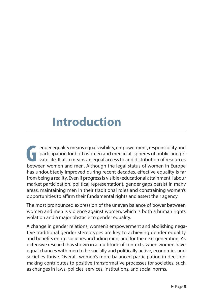# **Introduction**

**G** ender equality means equal visibility, empowerment, responsibility and participation for both women and men in all spheres of public and private life. It also means an equal access to and distribution of resources between women and men. Although the legal status of women in Europe has undoubtedly improved during recent decades, effective equality is far from being a reality. Even if progress is visible (educational attainment, labour market participation, political representation), gender gaps persist in many areas, maintaining men in their traditional roles and constraining women's opportunities to affirm their fundamental rights and assert their agency.

The most pronounced expression of the uneven balance of power between women and men is violence against women, which is both a human rights violation and a major obstacle to gender equality.

A change in gender relations, women's empowerment and abolishing negative traditional gender stereotypes are key to achieving gender equality and benefts entire societies, including men, and for the next generation. As extensive research has shown in a multitude of contexts, when women have equal chances with men to be socially and politically active, economies and societies thrive. Overall, women's more balanced participation in decisionmaking contributes to positive transformative processes for societies, such as changes in laws, policies, services, institutions, and social norms.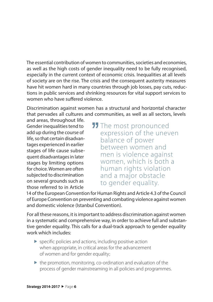The essential contribution of women to communities, societies and economies, as well as the high costs of gender inequality need to be fully recognised, especially in the current context of economic crisis. Inequalities at all levels of society are on the rise. The crisis and the consequent austerity measures have hit women hard in many countries through job losses, pay cuts, reductions in public services and shrinking resources for vital support services to women who have suffered violence.

Discrimination against women has a structural and horizontal character that pervades all cultures and communities, as well as all sectors, levels

and areas, throughout life. Gender inequalities tend to add up during the course of life, so that certain disadvantages experienced in earlier stages of life cause subsequent disadvantages in later stages by limiting options for choice. Women are often subjected to discrimination on several grounds such as those referred to in Article

**JJ** The most pronounced expression of the uneven balance of power between women and men is violence against women, which is both a human rights violation and a major obstacle to gender equality.

14 of the European Convention for Human Rights and Article 4.3 of the Council of Europe Convention on preventing and combating violence against women and domestic violence (Istanbul Convention).

For all these reasons, it is important to address discrimination against women in a systematic and comprehensive way, in order to achieve full and substantive gender equality. This calls for a dual-track approach to gender equality work which includes:

- $\blacktriangleright$  specific policies and actions, including positive action when appropriate, in critical areas for the advancement of women and for gender equality;
- $\blacktriangleright$  the promotion, monitoring, co-ordination and evaluation of the process of gender mainstreaming in all policies and programmes.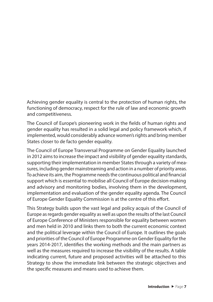Achieving gender equality is central to the protection of human rights, the functioning of democracy, respect for the rule of law and economic growth and competitiveness.

The Council of Europe's pioneering work in the felds of human rights and gender equality has resulted in a solid legal and policy framework which, if implemented, would considerably advance women's rights and bring member States closer to de facto gender equality.

The Council of Europe Transversal Programme on Gender Equality launched in 2012 aims to increase the impact and visibility of gender equality standards, supporting their implementation in member States through a variety of measures, including gender mainstreaming and action in a number of priority areas. To achieve its aim, the Programme needs the continuous political and fnancial support which is essential to mobilise all Council of Europe decision-making and advisory and monitoring bodies, involving them in the development, implementation and evaluation of the gender equality agenda. The Council of Europe Gender Equality Commission is at the centre of this effort.

This Strategy builds upon the vast legal and policy acquis of the Council of Europe as regards gender equality as well as upon the results of the last Council of Europe Conference of Ministers responsible for equality between women and men held in 2010 and links them to both the current economic context and the political leverage within the Council of Europe. It outlines the goals and priorities of the Council of Europe Programme on Gender Equality for the years 2014-2017, identifes the working methods and the main partners as well as the measures required to increase the visibility of the results. A table indicating current, future and proposed activities will be attached to this Strategy to show the immediate link between the strategic objectives and the specifc measures and means used to achieve them.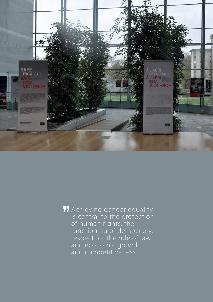

Achieving gender equality is central to the protection of human rights, the functioning of democracy, respect for the rule of law and economic growth and competitiveness.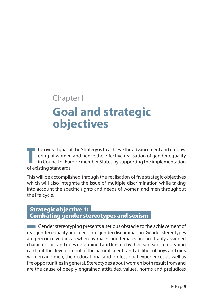# Chapter I **Goal and strategic objectives**

**T** he overall goal of the Strategy is to achieve the advancement and empowering of women and hence the efective realisation of gender equality in Council of Europe member States by supporting the implementation of existing standards.

This will be accomplished through the realisation of fve strategic objectives which will also integrate the issue of multiple discrimination while taking into account the specifc rights and needs of women and men throughout the life cycle.

### Strategic objective 1: Combating gender stereotypes and sexism

**EXECUTE:** Gender stereotyping presents a serious obstacle to the achievement of real gender equality and feeds into gender discrimination. Gender stereotypes are preconceived ideas whereby males and females are arbitrarily assigned characteristics and roles determined and limited by their sex. Sex stereotyping can limit the development of the natural talents and abilities of boys and girls, women and men, their educational and professional experiences as well as life opportunities in general. Stereotypes about women both result from and are the cause of deeply engrained attitudes, values, norms and prejudices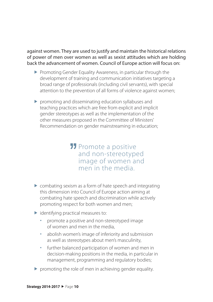against women. They are used to justify and maintain the historical relations of power of men over women as well as sexist attitudes which are holding back the advancement of women. Council of Europe action will focus on:

- **Promoting Gender Equality Awareness, in particular through the** development of training and communication initiatives targeting a broad range of professionals (including civil servants), with special attention to the prevention of all forms of violence against women;
- promoting and disseminating education syllabuses and teaching practices which are free from explicit and implicit gender stereotypes as well as the implementation of the other measures proposed in the Committee of Ministers' Recommendation on gender mainstreaming in education;

### **11** Promote a positive and non-stereotyped image of women and men in the media.

- combating sexism as a form of hate speech and integrating this dimension into Council of Europe action aiming at combating hate speech and discrimination while actively promoting respect for both women and men;
- $\blacktriangleright$  identifying practical measures to:
	- promote a positive and non-stereotyped image of women and men in the media,
	- abolish women's image of inferiority and submission as well as stereotypes about men's masculinity,
	- further balanced participation of women and men in decision-making positions in the media, in particular in management, programming and regulatory bodies;
- $\triangleright$  promoting the role of men in achieving gender equality.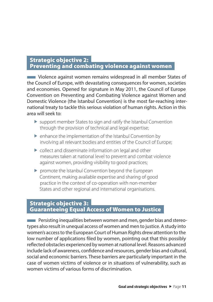### Strategic objective 2: Preventing and combating violence against women

■ Violence against women remains widespread in all member States of the Council of Europe, with devastating consequences for women, societies and economies. Opened for signature in May 2011, the Council of Europe Convention on Preventing and Combating Violence against Women and Domestic Violence (the Istanbul Convention) is the most far-reaching international treaty to tackle this serious violation of human rights. Action in this area will seek to:

- support member States to sign and ratify the Istanbul Convention through the provision of technical and legal expertise;
- enhance the implementation of the Istanbul Convention by involving all relevant bodies and entities of the Council of Europe;
- collect and disseminate information on legal and other measures taken at national level to prevent and combat violence against women, providing visibility to good practices;
- **P** promote the Istanbul Convention beyond the European Continent, making available expertise and sharing of good practice in the context of co-operation with non-member States and other regional and international organisations.

### Strategic objective 3: Guaranteeing Equal Access of Women to Justice

**EXECUTE:** Persisting inequalities between women and men, gender bias and stereotypes also result in unequal access of women and men to justice. A study into women's access to the European Court of Human Rights drew attention to the low number of applications fled by women, pointing out that this possibly refected obstacles experienced by women at national level. Reasons advanced include lack of awareness, confdence and resources, gender bias and cultural, social and economic barriers. These barriers are particularly important in the case of women victims of violence or in situations of vulnerability, such as women victims of various forms of discrimination.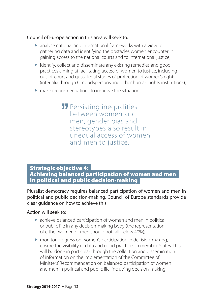#### Council of Europe action in this area will seek to:

- analyse national and international frameworks with a view to gathering data and identifying the obstacles women encounter in gaining access to the national courts and to international justice;
- $\triangleright$  identify, collect and disseminate any existing remedies and good practices aiming at facilitating access of women to justice, including out-of-court and quasi-legal stages of protection of women's rights (inter alia through Ombudspersons and other human rights institutions);
- make recommendations to improve the situation.

**11** Persisting inequalities between women and men, gender bias and stereotypes also result in unequal access of women and men to justice.

### Strategic objective 4: Achieving balanced participation of women and men in political and public decision-making

Pluralist democracy requires balanced participation of women and men in political and public decision-making. Council of Europe standards provide clear guidance on how to achieve this.

#### Action will seek to:

- achieve balanced participation of women and men in political or public life in any decision-making body (the representation of either women or men should not fall below 40%);
- monitor progress on women's participation in decision-making, ensure the visibility of data and good practices in member States. This will be done in particular through the collection and dissemination of information on the implementation of the Committee of Ministers' Recommendation on balanced participation of women and men in political and public life, including decision-making;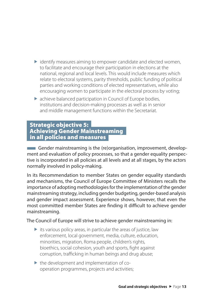- $\triangleright$  identify measures aiming to empower candidate and elected women, to facilitate and encourage their participation in elections at the national, regional and local levels. This would include measures which relate to electoral systems, parity thresholds, public funding of political parties and working conditions of elected representatives, while also encouraging women to participate in the electoral process by voting;
- achieve balanced participation in Council of Europe bodies, institutions and decision-making processes as well as in senior and middle management functions within the Secretariat.

### Strategic objective 5: Achieving Gender Mainstreaming in all policies and measures

**EXECUTE:** Gender mainstreaming is the (re)organisation, improvement, development and evaluation of policy processes, so that a gender equality perspective is incorporated in all policies at all levels and at all stages, by the actors normally involved in policy-making.

In its Recommendation to member States on gender equality standards and mechanisms, the Council of Europe Committee of Ministers recalls the importance of adopting methodologies for the implementation of the gender mainstreaming strategy, including gender budgeting, gender-based analysis and gender impact assessment. Experience shows, however, that even the most committed member States are finding it difficult to achieve gender mainstreaming.

The Council of Europe will strive to achieve gender mainstreaming in:

- $\triangleright$  its various policy areas, in particular the areas of justice, law enforcement, local government, media, culture, education, minorities, migration, Roma people, children's rights, bioethics, social cohesion, youth and sports, fght against corruption, trafficking in human beings and drug abuse;
- $\triangleright$  the development and implementation of cooperation programmes, projects and activities;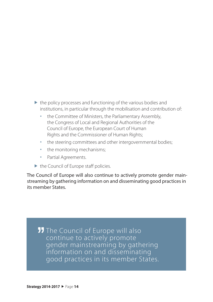- $\triangleright$  the policy processes and functioning of the various bodies and institutions, in particular through the mobilisation and contribution of:
	- the Committee of Ministers, the Parliamentary Assembly, the Congress of Local and Regional Authorities of the Council of Europe, the European Court of Human Rights and the Commissioner of Human Rights;
	- the steering committees and other intergovernmental bodies;
	- the monitoring mechanisms;
	- **•** Partial Agreements.
- $\blacktriangleright$  the Council of Europe staff policies.

The Council of Europe will also continue to actively promote gender mainstreaming by gathering information on and disseminating good practices in its member States.

**JJ** The Council of Europe will also continue to actively promote gender mainstreaming by gathering information on and disseminating good practices in its member States.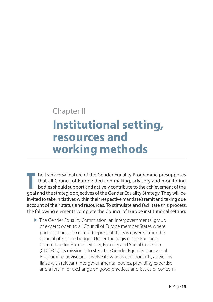### Chapter II

# **Institutional setting, resources and working methods**

**T** he transversal nature of the Gender Equality Programme presupposes that all Council of Europe decision-making, advisory and monitoring bodies should support and actively contribute to the achievement of the goal and the strategic objectives of the Gender Equality Strategy. They will be invited to take initiatives within their respective mandate's remit and taking due account of their status and resources. To stimulate and facilitate this process, the following elements complete the Council of Europe institutional setting:

▶ The Gender Equality Commission: an intergovernmental group of experts open to all Council of Europe member States where participation of 16 elected representatives is covered from the Council of Europe budget. Under the aegis of the European Committee for Human Dignity, Equality and Social Cohesion (CDDECS), its mission is to steer the Gender Equality Transversal Programme, advise and involve its various components, as well as liaise with relevant intergovernmental bodies, providing expertise and a forum for exchange on good practices and issues of concern.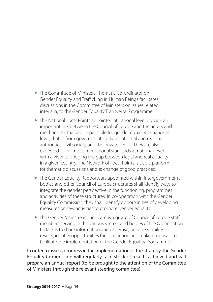- The Committee of Ministers' Thematic Co-ordinator on Gender Equality and Trafficking in Human Beings facilitates discussions in the Committee of Ministers on issues related, inter alia, to the Gender Equality Transversal Programme.
- ▶ The National Focal Points appointed at national level provide an important link between the Council of Europe and the actors and mechanisms that are responsible for gender equality at national level, that is, from government, parliament, local and regional authorities, civil society and the private sector. They are also expected to promote international standards at national level with a view to bridging the gap between legal and real equality in a given country. The Network of Focal Points is also a platform for thematic discussions and exchange of good practices.
- ▶ The Gender Equality Rapporteurs appointed within intergovernmental bodies and other Council of Europe structures shall identify ways to integrate the gender perspective in the functioning, programmes and activities of these structures. In co-operation with the Gender Equality Commission, they shall identify opportunities of developing measures or new activities to promote gender equality.
- ▶ The Gender Mainstreaming Team is a group of Council of Europe staff members serving in the various sectors and bodies of the Organisation. Its task is to share information and expertise, provide visibility to results, identify opportunities for joint action and make proposals to facilitate the implementation of the Gender Equality Programme.

In order to assess progress in the implementation of the strategy, the Gender Equality Commission will regularly take stock of results achieved and will prepare an annual report (to be brought to the attention of the Committee of Ministers through the relevant steering committee).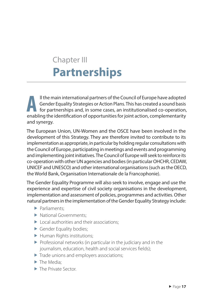# Chapter III **Partnerships**

**A** ll the main international partners of the Council of Europe have adopted Gender Equality Strategies or Action Plans. This has created a sound basis  $\blacksquare$  for partnerships and, in some cases, an institutionalised co-operation, enabling the identifcation of opportunities for joint action, complementarity and synergy.

The European Union, UN-Women and the OSCE have been involved in the development of this Strategy. They are therefore invited to contribute to its implementation as appropriate, in particular by holding regular consultations with the Council of Europe, participating in meetings and events and programming and implementing joint initiatives. The Council of Europe will seek to reinforce its co-operation with other UN agencies and bodies (in particular OHCHR, CEDAW, UNICEF and UNESCO) and other international organisations (such as the OECD, the World Bank, Organisation Internationale de la Francophonie).

The Gender Equality Programme will also seek to involve, engage and use the experience and expertise of civil society organisations in the development, implementation and assessment of policies, programmes and activities. Other natural partners in the implementation of the Gender Equality Strategy include:

- Parliaments;
- National Governments:
- $\blacktriangleright$  Local authorities and their associations;
- Gender Equality bodies;
- Human Rights institutions;
- $\triangleright$  Professional networks (in particular in the judiciary and in the journalism, education, health and social services felds);
- Trade unions and employers associations;
- The Media:
- ▶ The Private Sector.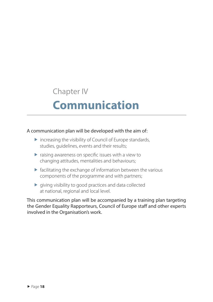## Chapter IV

# **Communication**

### A communication plan will be developed with the aim of:

- $\triangleright$  increasing the visibility of Council of Europe standards, studies, guidelines, events and their results;
- $\triangleright$  raising awareness on specific issues with a view to changing attitudes, mentalities and behaviours;
- $\triangleright$  facilitating the exchange of information between the various components of the programme and with partners;
- $\blacktriangleright$  giving visibility to good practices and data collected at national, regional and local level.

This communication plan will be accompanied by a training plan targeting the Gender Equality Rapporteurs, Council of Europe staff and other experts involved in the Organisation's work.